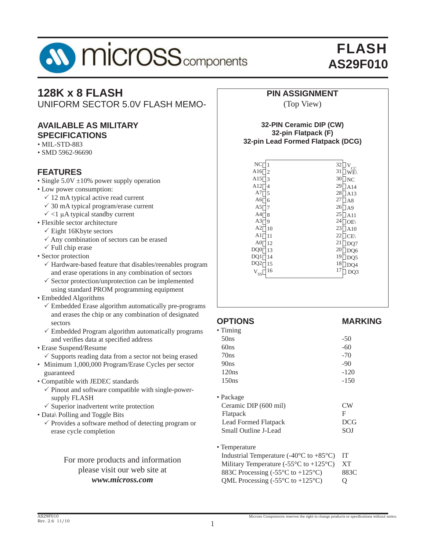

# **128K x 8 FLASH**

UNIFORM SECTOR 5.0V FLASH MEMO-

### **AVAILABLE AS MILITARY SPECIFICATIONS**

- MIL-STD-883
- SMD 5962-96690

## **FEATURES**

- Single 5.0V ±10% power supply operation
- Low power consumption:
	- $\checkmark$  12 mA typical active read current
	- $\checkmark$  30 mA typical program/erase current
- $\checkmark$  <1 µA typical standby current
- Flexible sector architecture
	- $\checkmark$  Eight 16Kbyte sectors
	- $\checkmark$  Any combination of sectors can be erased
	- $\checkmark$  Full chip erase
- Sector protection
	- $\checkmark$  Hardware-based feature that disables/reenables program and erase operations in any combination of sectors
	- $\checkmark$  Sector protection/unprotection can be implemented using standard PROM programming equipment
- Embedded Algorithms
	- $\checkmark$  Embedded Erase algorithm automatically pre-programs and erases the chip or any combination of designated sectors
	- $\checkmark$  Embedded Program algorithm automatically programs and verifies data at specified address
- Erase Suspend/Resume
	- $\checkmark$  Supports reading data from a sector not being erased
- Minimum 1,000,000 Program/Erase Cycles per sector guaranteed
- Compatible with JEDEC standards
	- $\checkmark$  Pinout and software compatible with single-powersupply FLASH
- $\checkmark$  Superior inadvertent write protection
- Data\ Polling and Toggle Bits
	- $\checkmark$  Provides a software method of detecting program or erase cycle completion

### For more products and information please visit our web site at *www.micross.com*

#### **PIN ASSIGNMENT**

#### (Top View)

#### **32-PIN Ceramic DIP (CW) 32-pin Flatpack (F) 32-pin Lead Formed Flatpack (DCG)**

| $\rm NC$              | 32<br>CC  |
|-----------------------|-----------|
| A16                   | 31        |
| 2                     | <b>WE</b> |
| A15                   | 30        |
| 3                     | NC        |
| A12                   | 29        |
| 4                     | A14       |
| A7                    | 28        |
| 5                     | A13       |
| A6                    | 27        |
| 6                     | l A8      |
| A5                    | 26        |
| 7                     | AA9       |
| A4                    | 25        |
| 8                     | A11       |
| A3                    | 24        |
| 9                     | OE        |
| A2                    | 23        |
| 10                    | A10       |
| A1                    | 22        |
| 11                    | CE(       |
| A <sub>0</sub>        | 21        |
| 12                    | DQ7       |
| DQ0                   | 20        |
| 13                    | DQ6       |
| DQ1                   | 19        |
| 14                    | DQ5       |
| DQ2                   | 18        |
| 15                    | DQ4       |
| 16                    | 17        |
| ${\rm V}_{_{\rm SS}}$ | DQ3       |
|                       |           |

#### **OPTIONS MARKING**  $\cdot$  Timing

| тшшіқ                 |            |
|-----------------------|------------|
| 50ns                  | -50        |
| 60 <sub>ns</sub>      | -60        |
| 70ns                  | $-70$      |
| 90ns                  | $-90$      |
| 120ns                 | $-120$     |
| 150ns                 | $-150$     |
| $\bullet$ Package     |            |
| Ceramic DIP (600 mil) | CW         |
| Flatpack              | F          |
| Lead Formed Flatpack  | <b>DCG</b> |
| Small Outline J-Lead  | <b>SOJ</b> |
|                       |            |
| $\bullet$ Temperature |            |

| rennseradu                                                                    |                   |
|-------------------------------------------------------------------------------|-------------------|
| Industrial Temperature (-40 $\degree$ C to +85 $\degree$ C)                   | - IT-             |
| Military Temperature (-55 $\mathrm{^{\circ}C}$ to +125 $\mathrm{^{\circ}C}$ ) | -XT               |
| 883C Processing $(-55^{\circ}C \text{ to } +125^{\circ}C)$                    | 883C              |
| QML Processing $(-55^{\circ}C \text{ to } +125^{\circ}C)$                     | $\mathbf{\Omega}$ |

1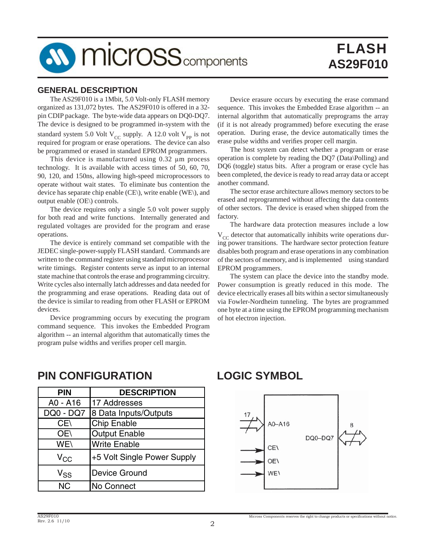

### **GENERAL DESCRIPTION**

 The AS29F010 is a 1Mbit, 5.0 Volt-only FLASH memory organized as 131,072 bytes. The AS29F010 is offered in a 32 pin CDIP package. The byte-wide data appears on DQ0-DQ7. The device is designed to be programmed in-system with the standard system 5.0 Volt  $V_{\text{CC}}$  supply. A 12.0 volt  $V_{\text{PP}}$  is not required for program or erase operations. The device can also be programmed or erased in standard EPROM programmers.

 This device is manufactured using 0.32 μm process technology. It is available with access times of 50, 60, 70, 90, 120, and 150ns, allowing high-speed microprocessors to operate without wait states. To eliminate bus contention the device has separate chip enable (CE\), write enable (WE\), and output enable (OE\) controls.

 The device requires only a single 5.0 volt power supply for both read and write functions. Internally generated and regulated voltages are provided for the program and erase operations.

 The device is entirely command set compatible with the JEDEC single-power-supply FLASH standard. Commands are written to the command register using standard microprocessor write timings. Register contents serve as input to an internal state machine that controls the erase and programming circuitry. Write cycles also internally latch addresses and data needed for the programming and erase operations. Reading data out of the device is similar to reading from other FLASH or EPROM devices.

 Device programming occurs by executing the program command sequence. This invokes the Embedded Program algorithm -- an internal algorithm that automatically times the program pulse widths and verifies proper cell margin.

 Device erasure occurs by executing the erase command sequence. This invokes the Embedded Erase algorithm -- an internal algorithm that automatically preprograms the array (if it is not already programmed) before executing the erase operation. During erase, the device automatically times the erase pulse widths and verifies proper cell margin.

 The host system can detect whether a program or erase operation is complete by reading the DQ7 (Data\Polling) and DQ6 (toggle) status bits. After a program or erase cycle has been completed, the device is ready to read array data or accept another command.

 The sector erase architecture allows memory sectors to be erased and reprogrammed without affecting the data contents of other sectors. The device is erased when shipped from the factory.

 The hardware data protection measures include a low  $V_{CC}$  detector that automatically inhibits write operations during power transitions. The hardware sector protection feature disables both program and erase operations in any combination of the sectors of memory, and is implemented using standard EPROM programmers.

 The system can place the device into the standby mode. Power consumption is greatly reduced in this mode. The device electrically erases all bits within a sector simultaneously via Fowler-Nordheim tunneling. The bytes are programmed one byte at a time using the EPROM programming mechanism of hot electron injection.

**PIN CONFIGURATION**

| PIN                        | <b>DESCRIPTION</b>          |
|----------------------------|-----------------------------|
| A0 - A16                   | 17 Addresses                |
| DQ0 - DQ7                  | 8 Data Inputs/Outputs       |
| CE\                        | <b>Chip Enable</b>          |
| OE\                        | <b>Output Enable</b>        |
| WE\                        | <b>Write Enable</b>         |
| $V_{CC}$                   | +5 Volt Single Power Supply |
| $\mathsf{V}_{\mathsf{SS}}$ | <b>Device Ground</b>        |
| <b>NC</b>                  | No Connect                  |

## **LOGIC SYMBOL**



Micross Components reserves the right to change products or specifications without notice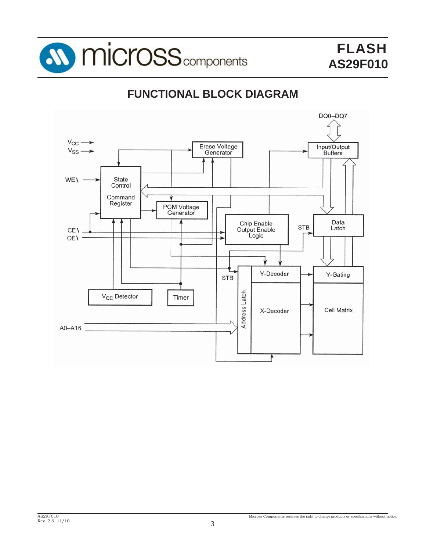

# **FUNCTIONAL BLOCK DIAGRAM**

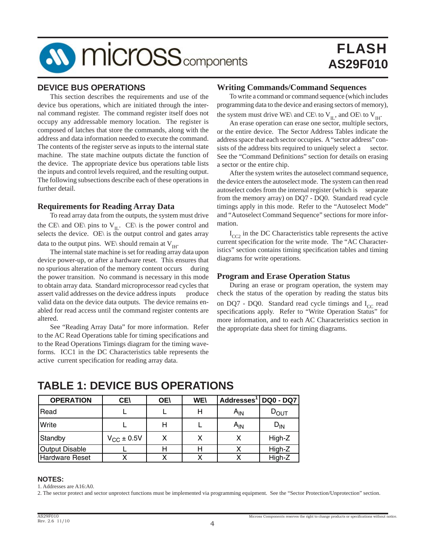

#### **DEVICE BUS OPERATIONS**

 This section describes the requirements and use of the device bus operations, which are initiated through the internal command register. The command register itself does not occupy any addressable memory location. The register is composed of latches that store the commands, along with the address and data information needed to execute the command. The contents of the register serve as inputs to the internal state machine. The state machine outputs dictate the function of the device. The appropriate device bus operations table lists the inputs and control levels required, and the resulting output. The following subsections describe each of these operations in further detail.

#### **Requirements for Reading Array Data**

 To read array data from the outputs, the system must drive the CE\ and OE\ pins to  $V_{II}$ . CE\ is the power control and selects the device. OE\ is the output control and gates array data to the output pins. WE\ should remain at  $V<sub>HH</sub>$ .

 The internal state machine is set for reading array data upon device power-up, or after a hardware reset. This ensures that no spurious alteration of the memory content occurs during the power transition. No command is necessary in this mode to obtain array data. Standard microprocessor read cycles that assert valid addresses on the device address inputs produce valid data on the device data outputs. The device remains enabled for read access until the command register contents are altered.

 See "Reading Array Data" for more information. Refer to the AC Read Operations table for timing specifications and to the Read Operations Timings diagram for the timing waveforms. ICC1 in the DC Characteristics table represents the active current specification for reading array data.

#### **Writing Commands/Command Sequences**

 To write a command or command sequence (which includes programming data to the device and erasing sectors of memory), the system must drive WE\ and CE\ to V<sub>IL</sub>, and OE\ to V<sub>IH</sub>.

 An erase operation can erase one sector, multiple sectors, or the entire device. The Sector Address Tables indicate the address space that each sector occupies. A "sector address" consists of the address bits required to uniquely select a sector. See the "Command Definitions" section for details on erasing a sector or the entire chip.

 After the system writes the autoselect command sequence, the device enters the autoselect mode. The system can then read autoselect codes from the internal register (which is separate from the memory array) on DQ7 - DQ0. Standard read cycle timings apply in this mode. Refer to the "Autoselect Mode" and "Autoselect Command Sequence" sections for more information.

 $I_{CC2}$  in the DC Characteristics table represents the active current specification for the write mode. The "AC Characteristics" section contains timing specification tables and timing diagrams for write operations.

#### **Program and Erase Operation Status**

 During an erase or program operation, the system may check the status of the operation by reading the status bits on DQ7 - DQ0. Standard read cycle timings and  $I_{CC}$  read specifications apply. Refer to "Write Operation Status" for more information, and to each AC Characteristics section in the appropriate data sheet for timing diagrams.

## **TABLE 1: DEVICE BUS OPERATIONS**

| <b>OPERATION</b>      | <b>CE</b>           | <b>OE\</b> | <b>WE\</b> | Addresses <sup>1</sup> | <b>DQ0 - DQ7</b> |
|-----------------------|---------------------|------------|------------|------------------------|------------------|
| Read                  |                     |            | н          | A <sub>IN</sub>        | $D_{\text{OUT}}$ |
| Write                 |                     | Н          |            | A <sub>IN</sub>        | ${\sf D_{IN}}$   |
| Standby               | $V_{\rm CC}$ ± 0.5V |            |            |                        | High-Z           |
| <b>Output Disable</b> |                     | н          | Н          |                        | High-Z           |
| <b>Hardware Reset</b> |                     |            |            |                        | High-Z           |

#### **NOTES:**

1. Addresses are A16:A0.

2. The sector protect and sector unprotect functions must be implemented via programming equipment. See the "Sector Protection/Unprotection" section.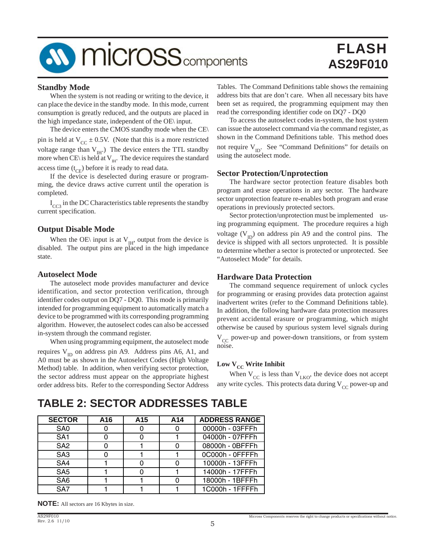# **SV MICroSS** components

# FLASH **AS29F010**

#### **Standby Mode**

 When the system is not reading or writing to the device, it can place the device in the standby mode. In this mode, current consumption is greatly reduced, and the outputs are placed in the high impedance state, independent of the OE\ input.

 The device enters the CMOS standby mode when the CE\ pin is held at  $V_{CC} \pm 0.5V$ . (Note that this is a more restricted voltage range than  $V_{\text{III}}$ .) The device enters the TTL standby more when CE\ is held at  $V_{\text{H}1}$ . The device requires the standard access time  $(t_{CF})$  before it is ready to read data.

 If the device is deselected during erasure or programming, the device draws active current until the operation is completed.

 $I_{CC3}$  in the DC Characteristics table represents the standby current specification.

#### **Output Disable Mode**

When the OE\ input is at  $V_{\text{IH}}$ , output from the device is disabled. The output pins are placed in the high impedance state.

#### **Autoselect Mode**

 The autoselect mode provides manufacturer and device identification, and sector protection verification, through identifier codes output on DQ7 - DQ0. This mode is primarily intended for programming equipment to automatically match a device to be programmed with its corresponding programming algorithm. However, the autoselect codes can also be accessed in-system through the command register.

 When using programming equipment, the autoselect mode requires  $V_{ID}$  on address pin A9. Address pins A6, A1, and A0 must be as shown in the Autoselect Codes (High Voltage Method) table. In addition, when verifying sector protection, the sector address must appear on the appropriate highest order address bits. Refer to the corresponding Sector Address Tables. The Command Definitions table shows the remaining address bits that are don't care. When all necessary bits have been set as required, the programming equipment may then read the corresponding identifier code on DQ7 - DQ0

 To access the autoselect codes in-system, the host system can issue the autoselect command via the command register, as shown in the Command Definitions table. This method does not require  $V_{ID}$ . See "Command Definitions" for details on using the autoselect mode.

#### **Sector Protection/Unprotection**

 The hardware sector protection feature disables both program and erase operations in any sector. The hardware sector unprotection feature re-enables both program and erase operations in previously protected sectors.

 Sector protection/unprotection must be implemented using programming equipment. The procedure requires a high voltage  $(V_{ID})$  on address pin A9 and the control pins. The device is shipped with all sectors unprotected. It is possible to determine whether a sector is protected or unprotected. See "Autoselect Mode" for details.

#### **Hardware Data Protection**

 The command sequence requirement of unlock cycles for programming or erasing provides data protection against inadvertent writes (refer to the Command Definitions table). In addition, the following hardware data protection measures prevent accidental erasure or programming, which might otherwise be caused by spurious system level signals during  $V_{CC}$  power-up and power-down transitions, or from system noise.

## Low  $\mathbf{V}_{\text{CC}}$  Write Inhibit

When  $V_{CC}$  is less than  $V_{LKO}$ , the device does not accept any write cycles. This protects data during  $V_{CC}$  power-up and

## **TABLE 2: SECTOR ADDRESSES TABLE**

| <b>SECTOR</b>   | A16 | A <sub>15</sub> | A14 | <b>ADDRESS RANGE</b> |
|-----------------|-----|-----------------|-----|----------------------|
| SA <sub>0</sub> |     |                 | ŋ   | 00000h - 03FFFh      |
| SA <sub>1</sub> |     |                 |     | 04000h - 07FFFh      |
| SA <sub>2</sub> |     |                 | O   | 08000h - 0BFFFh      |
| SA <sub>3</sub> |     |                 |     | 0C000h - OFFFFh      |
| SA4             |     |                 |     | 10000h - 13FFFh      |
| SA <sub>5</sub> |     |                 |     | 14000h - 17FFFh      |
| SA <sub>6</sub> |     |                 | n   | 18000h - 1BFFFh      |
| SA7             |     |                 |     | 1C000h - 1FFFFh      |

**NOTE:** All sectors are 16 Kbytes in size.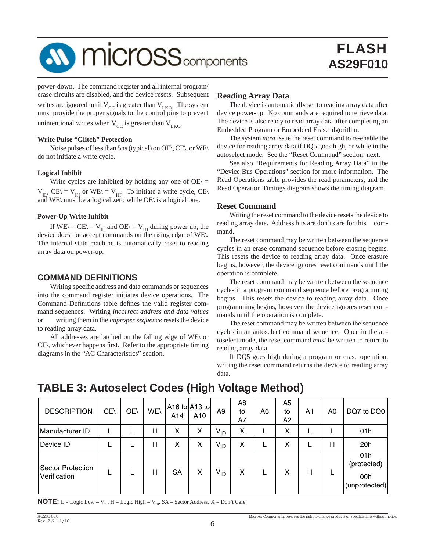# **M** micross<sub>components</sub>

power-down. The command register and all internal program/ erase circuits are disabled, and the device resets. Subsequent writes are ignored until  $V_{CC}$  is greater than  $V_{LKO}$ . The system must provide the proper signals to the control pins to prevent unintentional writes when  $V_{CC}$  is greater than  $V_{LKO}$ .

#### **Write Pulse "Glitch" Protection**

 Noise pulses of less than 5ns (typical) on OE\, CE\, or WE\ do not initiate a write cycle.

#### **Logical Inhibit**

Write cycles are inhibited by holding any one of  $OE \subseteq$  $V_{IL}$ , CE\ =  $V_{IH}$  or WE\ =  $V_{IH}$ . To initiate a write cycle, CE\ and WE\ must be a logical zero while OE\ is a logical one.

#### **Power-Up Write Inhibit**

If  $WE \setminus = CE \setminus = V_{IL}$  and  $OE \setminus = V_{IH}$  during power up, the device does not accept commands on the rising edge of WE\. The internal state machine is automatically reset to reading array data on power-up.

#### **COMMAND DEFINITIONS**

Writing specific address and data commands or sequences into the command register initiates device operations. The Command Definitions table defines the valid register command sequences. Writing *incorrect address and data values* or writing them in the *improper sequence* resets the device to reading array data.

 All addresses are latched on the falling edge of WE\ or  $CE\setminus$ , whichever happens first. Refer to the appropriate timing diagrams in the "AC Characteristics" section.

#### **Reading Array Data**

 The device is automatically set to reading array data after device power-up. No commands are required to retrieve data. The device is also ready to read array data after completing an Embedded Program or Embedded Erase algorithm.

 The system *must* issue the reset command to re-enable the device for reading array data if DQ5 goes high, or while in the autoselect mode. See the "Reset Command" section, next.

 See also "Requirements for Reading Array Data" in the "Device Bus Operations" section for more information. The Read Operations table provides the read parameters, and the Read Operation Timings diagram shows the timing diagram.

#### **Reset Command**

 Writing the reset command to the device resets the device to reading array data. Address bits are don't care for this command.

 The reset command may be written between the sequence cycles in an erase command sequence before erasing begins. This resets the device to reading array data. Once erasure begins, however, the device ignores reset commands until the operation is complete.

 The reset command may be written between the sequence cycles in a program command sequence before programming begins. This resets the device to reading array data. Once programming begins, however, the device ignores reset commands until the operation is complete.

 The reset command may be written between the sequence cycles in an autoselect command sequence. Once in the autoselect mode, the reset command *must* be written to return to reading array data.

 If DQ5 goes high during a program or erase operation, writing the reset command returns the device to reading array data.

## **TABLE 3: Autoselect Codes (High Voltage Method)**

| <b>DESCRIPTION</b>                       | CE\ | OE\ | WE\ | A14 | A16 to $A13$ to<br>A10 | A <sub>9</sub>  | A8<br>to<br>A7 | A6 | A <sub>5</sub><br>to<br>A <sub>2</sub> | A1 | A0 | DQ7 to DQ0                                 |
|------------------------------------------|-----|-----|-----|-----|------------------------|-----------------|----------------|----|----------------------------------------|----|----|--------------------------------------------|
| Manufacturer ID                          |     |     | н   | X   | X                      | V <sub>ID</sub> | X              | ┕  | Χ                                      |    |    | 01h                                        |
| Device ID                                |     |     | н   | X   | X                      | V <sub>ID</sub> | X              | ட  | x                                      |    | H  | 20h                                        |
| <b>Sector Protection</b><br>Verification |     |     | н   | SA  | X                      | V <sub>ID</sub> | X              |    | x                                      | Н  |    | 01h<br>(protected)<br>00h<br>(unprotected) |

**NOTE:** L = Logic Low =  $V_{II}$ , H = Logic High =  $V_{III}$ , SA = Sector Address, X = Don't Care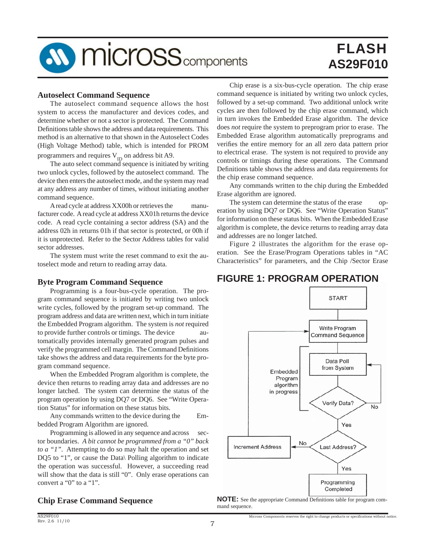

#### **Autoselect Command Sequence**

 The autoselect command sequence allows the host system to access the manufacturer and devices codes, and determine whether or not a sector is protected. The Command Definitions table shows the address and data requirements. This method is an alternative to that shown in the Autoselect Codes (High Voltage Method) table, which is intended for PROM

programmers and requires  $V_{ID}$  on address bit A9.

The auto select command sequence is initiated by writing two unlock cycles, followed by the autoselect command. The device then enters the autoselect mode, and the system may read at any address any number of times, without initiating another command sequence.

 A read cycle at address XX00h or retrieves the manufacturer code. A read cycle at address XX01h returns the device code. A read cycle containing a sector address (SA) and the address 02h in returns 01h if that sector is protected, or 00h if it is unprotected. Refer to the Sector Address tables for valid sector addresses.

 The system must write the reset command to exit the autoselect mode and return to reading array data.

#### **Byte Program Command Sequence**

 Programming is a four-bus-cycle operation. The program command sequence is initiated by writing two unlock write cycles, followed by the program set-up command. The program address and data are written next, which in turn initiate the Embedded Program algorithm. The system is *not* required to provide further controls or timings. The device automatically provides internally generated program pulses and verify the programmed cell margin. The Command Definitions take shows the address and data requirements for the byte program command sequence.

 When the Embedded Program algorithm is complete, the device then returns to reading array data and addresses are no longer latched. The system can determine the status of the program operation by using DQ7 or DQ6. See "Write Operation Status" for information on these status bits.

 Any commands written to the device during the Embedded Program Algorithm are ignored.

Programming is allowed in any sequence and across sector boundaries. *A bit cannot be programmed from a "0" back to a "1".* Attempting to do so may halt the operation and set DQ5 to "1", or cause the Data\ Polling algorithm to indicate the operation was successful. However, a succeeding read will show that the data is still "0". Only erase operations can convert a "0" to a "1".

## **Chip Erase Command Sequence**

 Chip erase is a six-bus-cycle operation. The chip erase command sequence is initiated by writing two unlock cycles, followed by a set-up command. Two additional unlock write cycles are then followed by the chip erase command, which in turn invokes the Embedded Erase algorithm. The device does *not* require the system to preprogram prior to erase. The Embedded Erase algorithm automatically preprograms and verifies the entire memory for an all zero data pattern prior to electrical erase. The system is not required to provide any controls or timings during these operations. The Command Definitions table shows the address and data requirements for the chip erase command sequence.

 Any commands written to the chip during the Embedded Erase algorithm are ignored.

 The system can determine the status of the erase operation by using DQ7 or DQ6. See "Write Operation Status" for information on these status bits. When the Embedded Erase algorithm is complete, the device returns to reading array data and addresses are no longer latched.

 Figure 2 illustrates the algorithm for the erase operation. See the Erase/Program Operations tables in "AC Characteristics" for parameters, and the Chip /Sector Erase

## **FIGURE 1: PROGRAM OPERATION**



**NOTE:** See the appropriate Command Definitions table for program command sequence.

Micross Components reserves the right to change products or specifications without notice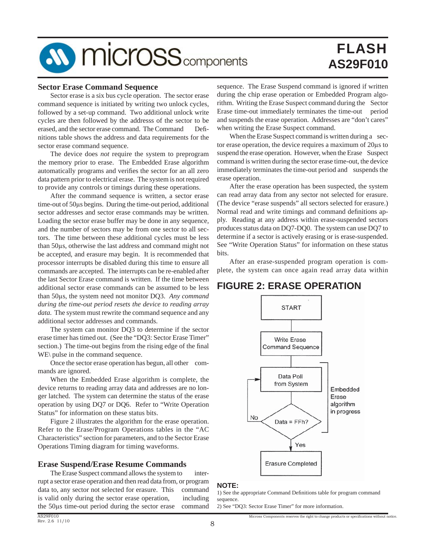# **SV MICroSS** components

# FLASH **AS29F010**

#### **Sector Erase Command Sequence**

 Sector erase is a six bus cycle operation. The sector erase command sequence is initiated by writing two unlock cycles, followed by a set-up command. Two additional unlock write cycles are then followed by the addresss of the sector to be erased, and the sector erase command. The Command Definitions table shows the address and data requirements for the sector erase command sequence.

 The device does *not* require the system to preprogram the memory prior to erase. The Embedded Erase algorithm automatically programs and verifies the sector for an all zero data pattern prior to electrical erase. The system is not required to provide any controls or timings during these operations.

 After the command sequence is written, a sector erase time-out of 50μs begins. During the time-out period, additional sector addresses and sector erase commands may be written. Loading the sector erase buffer may be done in any sequence, and the number of sectors may be from one sector to all sectors. The time between these additional cycles must be less than 50μs, otherwise the last address and command might not be accepted, and erasure may begin. It is recommended that processor interrupts be disabled during this time to ensure all commands are accepted. The interrupts can be re-enabled after the last Sector Erase command is written. If the time between additional sector erase commands can be assumed to be less than 50μs, the system need not monitor DQ3. *Any command during the time-out period resets the device to reading array data.* The system must rewrite the command sequence and any additional sector addresses and commands.

 The system can monitor DQ3 to determine if the sector erase timer has timed out. (See the "DQ3: Sector Erase Timer" section.) The time-out begins from the rising edge of the final WE\ pulse in the command sequence.

Once the sector erase operation has begun, all other commands are ignored.

 When the Embedded Erase algorithm is complete, the device returns to reading array data and addresses are no longer latched. The system can determine the status of the erase operation by using DQ7 or DQ6. Refer to "Write Operation Status" for information on these status bits.

 Figure 2 illustrates the algorithm for the erase operation. Refer to the Erase/Program Operations tables in the "AC Characteristics" section for parameters, and to the Sector Erase Operations Timing diagram for timing waveforms.

#### **Erase Suspend/Erase Resume Commands**

The Erase Suspect command allows the system to interrupt a sector erase operation and then read data from, or program data to, any sector not selected for erasure. This command is valid only during the sector erase operation, including the 50μs time-out period during the sector erase command sequence. The Erase Suspend command is ignored if written during the chip erase operation or Embedded Program algorithm. Writing the Erase Suspect command during the Sector Erase time-out immediately terminates the time-out period and suspends the erase operation. Addresses are "don't cares" when writing the Erase Suspect command.

When the Erase Suspect command is written during a sector erase operation, the device requires a maximum of 20μs to suspend the erase operation. However, when the Erase Suspect command is written during the sector erase time-out, the device immediately terminates the time-out period and suspends the erase operation.

 After the erase operation has been suspected, the system can read array data from any sector not selected for erasure. (The device "erase suspends" all sectors selected for erasure.) Normal read and write timings and command definitions apply. Reading at any address within erase-suspended sectors produces status data on DQ7-DQ0. The system can use DQ7 to determine if a sector is actively erasing or is erase-suspended. See "Write Operation Status" for information on these status bits.

 After an erase-suspended program operation is complete, the system can once again read array data within

## **FIGURE 2: ERASE OPERATION**



#### **NOTE:**

1) See the appropriate Command Definitions table for program command sequence.

Micross Components reserves the right to change products or specifications without notice

2) See "DQ3: Sector Erase Timer" for more information.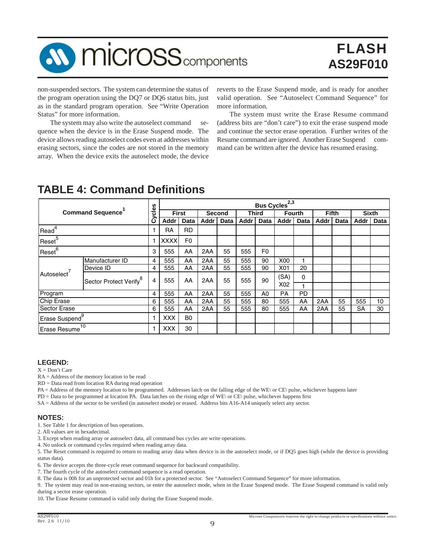# **SV MICrOSS** components

# FLASH **AS29F010**

non-suspended sectors. The system can determine the status of the program operation using the DQ7 or DQ6 status bits, just as in the standard program operation. See "Write Operation Status" for more information.

The system may also write the autoselect command sequence when the device is in the Erase Suspend mode. The device allows reading autoselect codes even at addresses within erasing sectors, since the codes are not stored in the memory array. When the device exits the autoselect mode, the device

reverts to the Erase Suspend mode, and is ready for another valid operation. See "Autoselect Command Sequence" for more information.

 The system must write the Erase Resume command (address bits are "don't care") to exit the erase suspend mode and continue the sector erase operation. Further writes of the Resume command are ignored. Another Erase Suspend command can be written after the device has resumed erasing.

|                            |                 |                                    |             |                |      |        |              |                | Bus Cycles <sup>2,3</sup> |             |              |      |           |              |  |
|----------------------------|-----------------|------------------------------------|-------------|----------------|------|--------|--------------|----------------|---------------------------|-------------|--------------|------|-----------|--------------|--|
| <b>Command Sequence</b>    |                 | cles                               |             | <b>First</b>   |      | Second | <b>Third</b> |                | <b>Fourth</b>             |             | <b>Fifth</b> |      |           | <b>Sixth</b> |  |
|                            |                 | ပ                                  | Addr        | <b>Data</b>    | Addr | Data   | Addr         | Data           | Addr                      | <b>Data</b> | Addr         | Data | Addr      | <b>Data</b>  |  |
| Read <sup>4</sup>          |                 |                                    | RA          | <b>RD</b>      |      |        |              |                |                           |             |              |      |           |              |  |
| Reset <sup>5</sup>         |                 |                                    | <b>XXXX</b> | F <sub>0</sub> |      |        |              |                |                           |             |              |      |           |              |  |
| Reset <sup>6</sup>         |                 | 3                                  | 555         | AA             | 2AA  | 55     | 555          | F <sub>0</sub> |                           |             |              |      |           |              |  |
|                            | Manufacturer ID | 4                                  | 555         | AA             | 2AA  | 55     | 555          | 90             | X00                       |             |              |      |           |              |  |
|                            | Device ID       | 4                                  | 555         | AA             | 2AA  | 55     | 555          | 90             | X01                       | 20          |              |      |           |              |  |
| Autoselect <sup>7</sup>    |                 | Sector Protect Verify <sup>8</sup> | 4           | 555            | AA   | 2AA    | 55           | 555            | 90                        | (SA)        | 0            |      |           |              |  |
|                            |                 |                                    |             |                |      |        |              |                | X <sub>02</sub>           |             |              |      |           |              |  |
| Program                    |                 | 4                                  | 555         | AA             | 2AA  | 55     | 555          | A0             | <b>PA</b>                 | <b>PD</b>   |              |      |           |              |  |
| <b>Chip Erase</b>          |                 | 6                                  | 555         | AA             | 2AA  | 55     | 555          | 80             | 555                       | AA          | 2AA          | 55   | 555       | 10           |  |
| <b>Sector Erase</b>        |                 | 6                                  | 555         | AA             | 2AA  | 55     | 555          | 80             | 555                       | AA          | 2AA          | 55   | <b>SA</b> | 30           |  |
| Erase Suspend <sup>9</sup> |                 |                                    | <b>XXX</b>  | B <sub>0</sub> |      |        |              |                |                           |             |              |      |           |              |  |
| <b>Erase Resume</b>        | 10              |                                    | <b>XXX</b>  | 30             |      |        |              |                |                           |             |              |      |           |              |  |

## **TABLE 4: Command Definitions**

#### **LEGEND:**

 $X = Don't Care$ 

RA = Address of the memory location to be read

RD = Data read from location RA during read operation

PA = Address of the memory location to be programmed. Addresses latch on the falling edge of the WE\ or CE\ pulse, whichever happens later

 $PD = Data$  to be programmed at location PA. Data latches on the rising edge of WE\ or CE\ pulse, whichever happens first

SA = Address of the sector to be verified (in autoselect mode) or erased. Address bits A16-A14 uniquely select any sector.

#### **NOTES:**

1. See Table 1 for description of bus operations.

2. All values are in hexadecimal.

3. Except when reading array or autoselect data, all command bus cycles are write operations.

4. No unlock or command cycles required when reading array data.

5. The Reset command is required to return to reading array data when device is in the autoselect mode, or if DQ5 goes high (while the device is providing status data).

6. The device accepts the three-cycle reset command sequence for backward compatibility.

7. The fourth cycle of the autoselect command sequence is a read operation.

8. The data is 00h for an unprotected sector and 01h for a protected sector. See "Autoselect Command Sequence" for more information.

9. The system may read in non-erasing sectors, or enter the autoselect mode, when in the Erase Suspend mode. The Erase Suspend command is valid only during a sector erase operation.

10. The Erase Resume command is valid only during the Erase Suspend mode.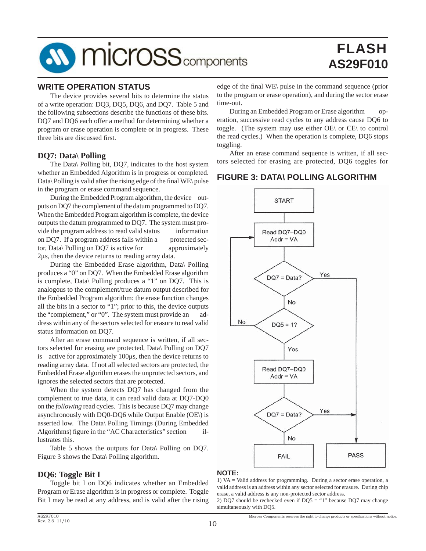# **SV MICroSS** components

# FLASH **AS29F010**

#### **WRITE OPERATION STATUS**

 The device provides several bits to determine the status of a write operation: DQ3, DQ5, DQ6, and DQ7. Table 5 and the following subsections describe the functions of these bits. DQ7 and DQ6 each offer a method for determining whether a program or erase operation is complete or in progress. These three bits are discussed first.

#### **DQ7: Data\ Polling**

 The Data\ Polling bit, DQ7, indicates to the host system whether an Embedded Algorithm is in progress or completed. Data\ Polling is valid after the rising edge of the final WE\ pulse in the program or erase command sequence.

During the Embedded Program algorithm, the device outputs on DQ7 the complement of the datum programmed to DQ7. When the Embedded Program algorithm is complete, the device outputs the datum programmed to DQ7. The system must provide the program address to read valid status information on DQ7. If a program address falls within a protected sector, Data\ Polling on DQ7 is active for approximately 2μs, then the device returns to reading array data.

 During the Embedded Erase algorithm, Data\ Polling produces a "0" on DQ7. When the Embedded Erase algorithm is complete, Data\ Polling produces a "1" on DQ7. This is analogous to the complement/true datum output described for the Embedded Program algorithm: the erase function changes all the bits in a sector to "1"; prior to this, the device outputs the "complement," or "0". The system must provide an address within any of the sectors selected for erasure to read valid status information on DQ7.

 After an erase command sequence is written, if all sectors selected for erasing are protected, Data\ Polling on DQ7 is active for approximately 100μs, then the device returns to reading array data. If not all selected sectors are protected, the Embedded Erase algorithm erases the unprotected sectors, and ignores the selected sectors that are protected.

 When the system detects DQ7 has changed from the complement to true data, it can read valid data at DQ7-DQ0 on the *following* read cycles. This is because DQ7 may change asynchronously with DQ0-DQ6 while Output Enable (OE\) is asserted low. The Data\ Polling Timings (During Embedded Algorithms) figure in the "AC Characteristics" section illustrates this.

 Table 5 shows the outputs for Data\ Polling on DQ7. Figure 3 shows the Data\ Polling algorithm.

#### **DQ6: Toggle Bit I**

 Toggle bit I on DQ6 indicates whether an Embedded Program or Erase algorithm is in progress or complete. Toggle Bit I may be read at any address, and is valid after the rising

edge of the final WE\ pulse in the command sequence (prior to the program or erase operation), and during the sector erase time-out.

 During an Embedded Program or Erase algorithm operation, successive read cycles to any address cause DQ6 to toggle. (The system may use either OE\ or CE\ to control the read cycles.) When the operation is complete, DQ6 stops toggling.

 After an erase command sequence is written, if all sectors selected for erasing are protected, DQ6 toggles for

### **FIGURE 3: DATA\ POLLING ALGORITHM**



#### **NOTE:**

1) VA = Valid address for programming. During a sector erase operation, a valid address is an address within any sector selected for erasure. During chip erase, a valid address is any non-protected sector address.

2) DQ7 should be rechecked even if  $DQ5 = "1"$  because DQ7 may change simultaneously with DQ5.

Micross Components reserves the right to change products or specifications without notice.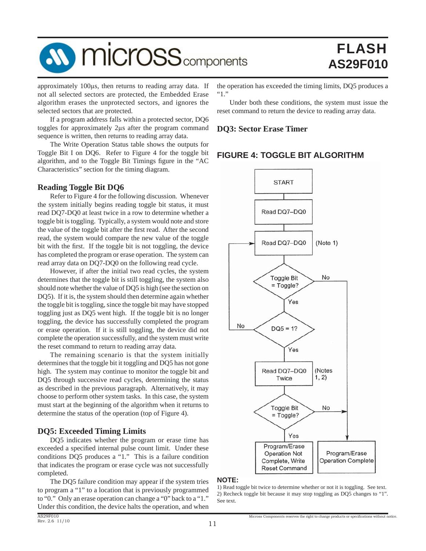

approximately 100μs, then returns to reading array data. If not all selected sectors are protected, the Embedded Erase algorithm erases the unprotected sectors, and ignores the selected sectors that are protected.

 If a program address falls within a protected sector, DQ6 toggles for approximately 2μs after the program command sequence is written, then returns to reading array data.

 The Write Operation Status table shows the outputs for Toggle Bit I on DQ6. Refer to Figure 4 for the toggle bit algorithm, and to the Toggle Bit Timings figure in the "AC Characteristics" section for the timing diagram.

#### **Reading Toggle Bit DQ6**

 Refer to Figure 4 for the following discussion. Whenever the system initially begins reading toggle bit status, it must read DQ7-DQ0 at least twice in a row to determine whether a toggle bit is toggling. Typically, a system would note and store the value of the toggle bit after the first read. After the second read, the system would compare the new value of the toggle bit with the first. If the toggle bit is not toggling, the device has completed the program or erase operation. The system can read array data on DQ7-DQ0 on the following read cycle.

 However, if after the initial two read cycles, the system determines that the toggle bit is still toggling, the system also should note whether the value of DQ5 is high (see the section on DQ5). If it is, the system should then determine again whether the toggle bit is toggling, since the toggle bit may have stopped toggling just as DQ5 went high. If the toggle bit is no longer toggling, the device has successfully completed the program or erase operation. If it is still toggling, the device did not complete the operation successfully, and the system must write the reset command to return to reading array data.

 The remaining scenario is that the system initially determines that the toggle bit it toggling and DQ5 has not gone high. The system may continue to monitor the toggle bit and DQ5 through successive read cycles, determining the status as described in the previous paragraph. Alternatively, it may choose to perform other system tasks. In this case, the system must start at the beginning of the algorithm when it returns to determine the status of the operation (top of Figure 4).

### **DQ5: Exceeded Timing Limits**

 DQ5 indicates whether the program or erase time has exceeded a specified internal pulse count limit. Under these conditions DQ5 produces a "1." This is a failure condition that indicates the program or erase cycle was not successfully completed.

 The DQ5 failure condition may appear if the system tries to program a "1" to a location that is previously programmed to "0." Only an erase operation can change a "0" back to a "1." Under this condition, the device halts the operation, and when

 Under both these conditions, the system must issue the reset command to return the device to reading array data.

#### **DQ3: Sector Erase Timer**

## **FIGURE 4: TOGGLE BIT ALGORITHM**



#### **NOTE:**

<sup>1)</sup> Read toggle bit twice to determine whether or not it is toggling. See text. 2) Recheck toggle bit because it may stop toggling as DQ5 changes to "1". See text.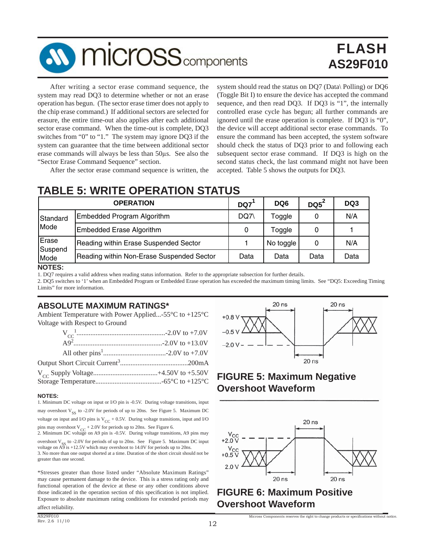

 After writing a sector erase command sequence, the system may read DQ3 to determine whether or not an erase operation has begun. (The sector erase timer does not apply to the chip erase command.) If additional sectors are selected for erasure, the entire time-out also applies after each additional sector erase command. When the time-out is complete, DQ3 switches from "0" to "1." The system may ignore DQ3 if the system can guarantee that the time between additional sector erase commands will always be less than 50μs. See also the "Sector Erase Command Sequence" section.

system should read the status on DQ7 (Data\ Polling) or DQ6 (Toggle Bit I) to ensure the device has accepted the command sequence, and then read DQ3. If DQ3 is "1", the internally controlled erase cycle has begun; all further commands are ignored until the erase operation is complete. If DQ3 is "0", the device will accept additional sector erase commands. To ensure the command has been accepted, the system software should check the status of DQ3 prior to and following each subsequent sector erase command. If DQ3 is high on the second status check, the last command might not have been accepted. Table 5 shows the outputs for DQ3.

## **TABLE 5: WRITE OPERATION STATUS**

After the sector erase command sequence is written, the

|                  | <b>OPERATION</b>                          | DQ7  | DQ <sub>6</sub> | DQ5  | DQ3  |
|------------------|-------------------------------------------|------|-----------------|------|------|
| Standard         | Embedded Program Algorithm                | DQ7\ | Toggle          |      | N/A  |
| Mode             | Embedded Erase Algorithm                  | 0    | Toggle          | Data |      |
| Erase<br>Suspend | Reading within Erase Suspended Sector     |      | No toggle       |      | N/A  |
| Mode             | Reading within Non-Erase Suspended Sector | Data | Data            |      | Data |

#### **NOTES:**

1. DQ7 requires a valid address when reading status information. Refer to the appropriate subsection for further details.

2. DQ5 switches to '1' when an Embedded Program or Embedded Erase operation has exceeded the maximum timing limits. See "DQ5: Exceeding Timing Limits" for more information.

## **ABSOLUTE MAXIMUM RATINGS\***

Ambient Temperature with Power Applied...-55°C to +125°C Voltage with Respect to Ground

#### **NOTES:**

1. Minimum DC voltage on input or I/O pin is -0.5V. During voltage transitions, input may overshoot  $V_{SS}$  to -2.0V for periods of up to 20ns. See Figure 5. Maximum DC voltage on input and I/O pins is  $V_{CC}$  + 0.5V. During voltage transitions, input and I/O pins may overshoot  $V_{CC}$  + 2.0V for periods up to 20ns. See Figure 6.<br>2. Minimum DC voltage on A9 pin is -0.5V. During voltage transitions, A9 pins may

overshoot  $V_{SS}$  to -2.0V for periods of up to 20ns. See Figure 5. Maximum DC input voltage on  $\overrightarrow{AD}$  is +12.5V which may overshoot to 14.0V for periods up to 20ns. 3. No more than one output shorted at a time. Duration of the short circuit should not be greater than one second.

\*Stresses greater than those listed under "Absolute Maximum Ratings" may cause permanent damage to the device. This is a stress rating only and functional operation of the device at these or any other conditions above those indicated in the operation section of this specification is not implied. Exposure to absolute maximum rating conditions for extended periods may



## **FIGURE 5: Maximum Negative Overshoot Waveform**



Micross Components reserves the right to change products or specifications without notice.

## **FIGURE 6: Maximum Positive Overshoot Waveform**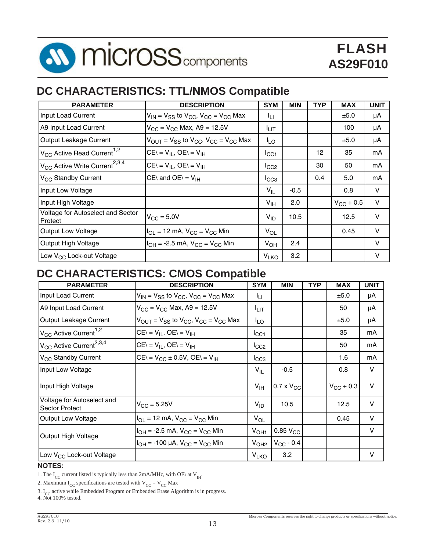

## **DC CHARACTERISTICS: TTL/NMOS Compatible**

| <b>PARAMETER</b>                                      | <b>DESCRIPTION</b>                                                                 | <b>SYM</b>             | <b>MIN</b> | <b>TYP</b> | <b>MAX</b>         | <b>UNIT</b> |
|-------------------------------------------------------|------------------------------------------------------------------------------------|------------------------|------------|------------|--------------------|-------------|
| Input Load Current                                    | $V_{IN}$ = $V_{SS}$ to $V_{CC}$ , $V_{CC}$ = $V_{CC}$ Max                          | Iц                     |            |            | ±5.0               | μA          |
| A9 Input Load Current                                 | $V_{CC} = V_{CC}$ Max, A9 = 12.5V                                                  | I⊔π                    |            |            | 100                | μA          |
| Output Leakage Current                                | $V_{\text{OUT}} = V_{SS}$ to $V_{\text{CC}}$ , $V_{\text{CC}} = V_{\text{CC}}$ Max | I <sub>LO</sub>        |            |            | ±5.0               | μA          |
| $V_{\text{CC}}$ Active Read Current <sup>1,2</sup>    | $CE = V_{II}$ , $OE = V_{IH}$                                                      | ICC1                   |            | 12         | 35                 | mA          |
| V <sub>CC</sub> Active Write Current <sup>2,3,4</sup> | $CE = V_{II}$ , $OE = V_{IH}$                                                      | ICC2                   |            | 30         | 50                 | mA          |
| V <sub>CC</sub> Standby Current                       | $CE\$ and $OE\$ = $V_{IH}$                                                         | $I_{CC3}$              |            | 0.4        | 5.0                | mA          |
| Input Low Voltage                                     |                                                                                    | $V_{IL}$               | $-0.5$     |            | 0.8                | v           |
| Input High Voltage                                    |                                                                                    | $V_{\text{IH}}$        | 2.0        |            | $V_{\rm CC}$ + 0.5 | v           |
| Voltage for Autoselect and Sector<br>Protect          | $V_{\rm CC}$ = 5.0V                                                                | $V_{ID}$               | 10.5       |            | 12.5               | V           |
| <b>Output Low Voltage</b>                             | $I_{OL}$ = 12 mA, $V_{CC}$ = $V_{CC}$ Min                                          | $V_{OL}$               |            |            | 0.45               | V           |
| Output High Voltage                                   | $I_{OH}$ = -2.5 mA, $V_{CC}$ = $V_{CC}$ Min                                        | $V_{OH}$               | 2.4        |            |                    | v           |
| Low V <sub>CC</sub> Lock-out Voltage                  |                                                                                    | <b>V<sub>LKO</sub></b> | 3.2        |            |                    | v           |

## **DC CHARACTERISTICS: CMOS Compatible**

| <b>PARAMETER</b>                                    | <b>DESCRIPTION</b>                                                                 | <b>SYM</b>                        | <b>MIN</b>          | <b>TYP</b> | <b>MAX</b>         | <b>UNIT</b> |
|-----------------------------------------------------|------------------------------------------------------------------------------------|-----------------------------------|---------------------|------------|--------------------|-------------|
| Input Load Current                                  | $V_{IN}$ = $V_{SS}$ to $V_{CC}$ , $V_{CC}$ = $V_{CC}$ Max                          | Īц                                |                     |            | ±5.0               | μA          |
| A9 Input Load Current                               | $V_{CC}$ = $V_{CC}$ Max, A9 = 12.5V                                                | Ι⊔π                               |                     |            | 50                 | μA          |
| Output Leakage Current                              | $V_{\text{OUT}} = V_{SS}$ to $V_{\text{CC}}$ , $V_{\text{CC}} = V_{\text{CC}}$ Max | I <sub>LO</sub>                   |                     |            | ±5.0               | μA          |
| $V_{CC}$ Active Current <sup>1,2</sup>              | $CE = V_{II}$ , $OE = V_{IH}$                                                      | ICC1                              |                     |            | 35                 | mA          |
| V <sub>CC</sub> Active Current <sup>2,3,4</sup>     | $CE = V_{II}$ , $OE = V_{IH}$                                                      | ICC2                              |                     |            | 50                 | mA          |
| V <sub>CC</sub> Standby Current                     | $CE = V_{CC} \pm 0.5V$ , $OE = V_{IH}$                                             | ICC3                              |                     |            | 1.6                | mA          |
| Input Low Voltage                                   |                                                                                    | $V_{IL}$                          | $-0.5$              |            | 0.8                | V           |
| Input High Voltage                                  |                                                                                    | V <sub>IH</sub>                   | $0.7 \times V_{CC}$ |            | $V_{\rm CC}$ + 0.3 | $\vee$      |
| Voltage for Autoselect and<br><b>Sector Protect</b> | $V_{\rm CC} = 5.25V$                                                               | $V_{ID}$                          | 10.5                |            | 12.5               | $\vee$      |
| <b>Output Low Voltage</b>                           | $I_{OL}$ = 12 mA, $V_{CC}$ = $V_{CC}$ Min                                          | $V_{OL}$                          |                     |            | 0.45               | V           |
| Output High Voltage                                 | $I_{OH}$ = -2.5 mA, $V_{CC}$ = $V_{CC}$ Min                                        | 0.85 $V_{CC}$<br>V <sub>OH1</sub> | V                   |            |                    |             |
|                                                     | $I_{OH}$ = -100 µA, $V_{CC}$ = $V_{CC}$ Min                                        | V <sub>OH2</sub>                  | $V_{CC}$ - 0.4      |            |                    |             |
| Low V <sub>CC</sub> Lock-out Voltage                |                                                                                    | <b>V<sub>LKO</sub></b>            | 3.2                 |            |                    | V           |

#### **NOTES:**

1. The I<sub>CC</sub> current listed is typically less than 2mA/MHz, with OE\ at V<sub>H+</sub>.

2. Maximum  $I_{CC}$  specifications are tested with  $V_{CC} = V_{CC}$  Max

3.  $I_{CC}$  active while Embedded Program or Embedded Erase Algorithm is in progress.

4. Not 100% tested.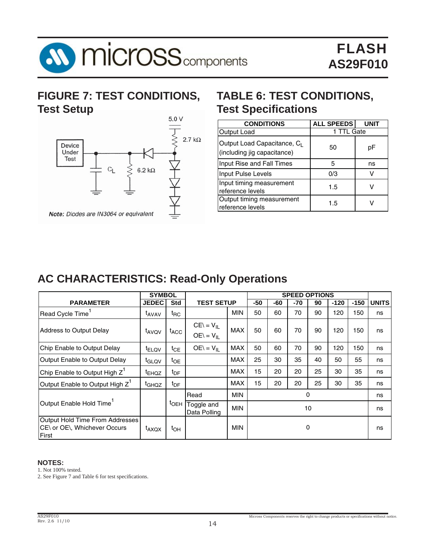

## **FIGURE 7: TEST CONDITIONS, Test Setup**



## **TABLE 6: TEST CONDITIONS, Test Specifications**

| <b>CONDITIONS</b>                                                      | <b>ALL SPEEDS</b> |    |
|------------------------------------------------------------------------|-------------------|----|
| Output Load                                                            | 1 TTL Gate        |    |
| Output Load Capacitance, C <sub>I</sub><br>(including jig capacitance) | 50                | рF |
| Input Rise and Fall Times                                              | 5                 | ns |
| Input Pulse Levels                                                     | 0/3               |    |
| Input timing measurement<br>reference levels                           | 1.5               |    |
| Output timing measurement<br>reference levels                          | 15                |    |

## **AC CHARACTERISTICS: Read-Only Operations**

|                                                                                 | <b>SYMBOL</b>     |                   |                                       |                  |     |     | <b>SPEED OPTIONS</b> |          |        |        |              |
|---------------------------------------------------------------------------------|-------------------|-------------------|---------------------------------------|------------------|-----|-----|----------------------|----------|--------|--------|--------------|
| <b>PARAMETER</b>                                                                | <b>JEDEC</b>      | <b>Std</b>        | <b>TEST SETUP</b>                     |                  | -50 | -60 | -70                  | 90       | $-120$ | $-150$ | <b>UNITS</b> |
| Read Cycle Time                                                                 | <sup>L</sup> AVAV | $t_{\mathsf{RC}}$ |                                       | <b>MIN</b>       | 50  | 60  | 70                   | 90       | 120    | 150    | ns           |
| <b>Address to Output Delay</b>                                                  | t <sub>AVOV</sub> | <sup>t</sup> ACC  | $CE = V_{\parallel}$<br>$OE = V_{II}$ | <b>MAX</b>       | 50  | 60  | 70                   | 90       | 120    | 150    | ns           |
| Chip Enable to Output Delay                                                     | <sup>t</sup> ELQV | $t_{\text{CE}}$   | $OE = V_{IL}$                         | <b>MAX</b>       | 50  | 60  | 70                   | 90       | 120    | 150    | ns           |
| Output Enable to Output Delay                                                   | t <sub>GLQV</sub> | $t_{OE}$          |                                       | <b>MAX</b>       | 25  | 30  | 35                   | 40       | 50     | 55     | ns           |
| Chip Enable to Output High Z <sup>1</sup>                                       | <sup>T</sup> EHQZ | $t_{\text{DF}}$   |                                       | <b>MAX</b>       | 15  | 20  | 20                   | 25       | 30     | 35     | ns           |
| Output Enable to Output High Z <sup>1</sup>                                     | <sup>t</sup> GHQZ | t <sub>DF</sub>   |                                       | <b>MAX</b>       | 15  | 20  | 20                   | 25       | 30     | 35     | ns           |
|                                                                                 |                   |                   | Read                                  | <b>MIN</b>       |     |     |                      | $\Omega$ |        |        | ns           |
| Output Enable Hold Time                                                         |                   | <sup>I</sup> OEH  | Toggle and<br>Data Polling            | 10<br><b>MIN</b> |     |     | ns                   |          |        |        |              |
| Output Hold Time From Addresses<br>CE\ or OE\, Whichever Occurs<br><b>First</b> | t <sub>AXQX</sub> | tон               |                                       | <b>MIN</b>       |     |     |                      | 0        |        |        | ns           |

#### **NOTES:**

1. Not 100% tested.

2. See Figure 7 and Table 6 for test specifications.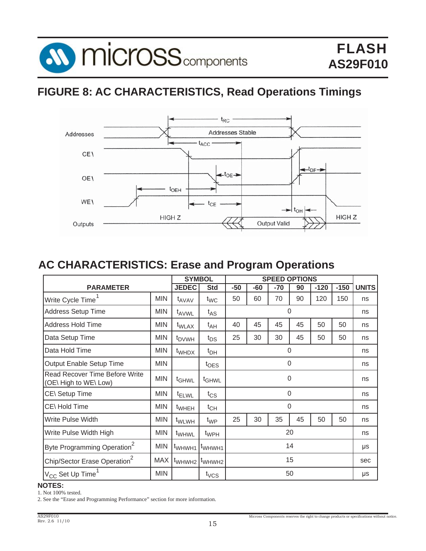

## **FIGURE 8: AC CHARACTERISTICS, Read Operations Timings**



## **AC CHARACTERISTICS: Erase and Program Operations**

|                                                                |            | <b>SYMBOL</b>      |                    | <b>SPEED OPTIONS</b> |     |              |     |        |        |              |
|----------------------------------------------------------------|------------|--------------------|--------------------|----------------------|-----|--------------|-----|--------|--------|--------------|
| <b>PARAMETER</b>                                               |            | <b>JEDEC</b>       | <b>Std</b>         | $-50$                | -60 | $-70$        | 90  | $-120$ | $-150$ | <b>UNITS</b> |
| Write Cycle Time <sup>1</sup>                                  | <b>MIN</b> | t <sub>AVAV</sub>  | $t_{\text{WC}}$    | 50                   | 60  | 70           | 90  | 120    | 150    | ns           |
| <b>Address Setup Time</b>                                      | MIN        | t <sub>AVWL</sub>  | $t_{AS}$           |                      |     | $\mathbf{0}$ |     |        |        | ns           |
| Address Hold Time                                              | <b>MIN</b> | t <sub>WLAX</sub>  | $t_{AH}$           | 40                   | 45  | 45           | 45  | 50     | 50     | ns           |
| Data Setup Time                                                | MIN        | <sup>t</sup> DVWH  | $t_{DS}$           | 25                   | 30  | 30           | 45  | 50     | 50     | ns           |
| Data Hold Time                                                 | <b>MIN</b> | t <sub>WHDX</sub>  | $t_{DH}$           |                      |     | 0            |     |        |        | ns           |
| Output Enable Setup Time                                       | <b>MIN</b> |                    | $t_{\text{OES}}$   |                      |     |              | 0   |        |        | ns           |
| <b>Read Recover Time Before Write</b><br>(OE\ High to WE\ Low) | <b>MIN</b> | t <sub>GHWL</sub>  | <sup>t</sup> GHWL  |                      |     | 0            |     |        |        | ns           |
| CE\ Setup Time                                                 | MIN        | <sup>t</sup> ELWL  | $t_{\text{CS}}$    |                      |     | $\Omega$     |     |        |        | ns           |
| CE\Hold Time                                                   | <b>MIN</b> | t <sub>WHEH</sub>  | $t_{CH}$           |                      |     | $\mathbf 0$  |     |        |        | ns           |
| Write Pulse Width                                              | <b>MIN</b> | t <sub>WLWH</sub>  | $t_{WP}$           | 25                   | 30  | 35           | 45  | 50     | 50     | ns           |
| Write Pulse Width High                                         | <b>MIN</b> | t <sub>WHWL</sub>  | t <sub>WPH</sub>   | 20                   |     |              |     | ns     |        |              |
| Byte Programming Operation <sup>2</sup>                        | <b>MIN</b> | t <sub>WHWH1</sub> | t <sub>WHWH1</sub> | 14                   |     |              | μs  |        |        |              |
| Chip/Sector Erase Operation <sup>2</sup>                       | <b>MAX</b> | t <sub>WHWH2</sub> | t <sub>WHWH2</sub> | 15                   |     |              | sec |        |        |              |
| $^{11}V_{\rm CC}$ Set Up Time $^{11}$                          | <b>MIN</b> |                    | $t_{VCS}$          |                      |     |              | 50  |        |        | μs           |

#### **NOTES:**

1. Not 100% tested.

2. See the "Erase and Programming Performance" section for more information.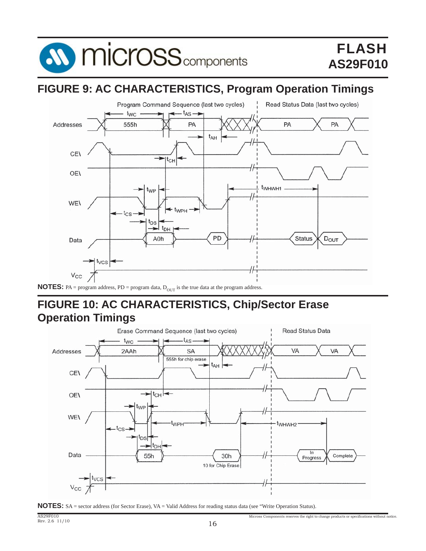

## **FIGURE 9: AC CHARACTERISTICS, Program Operation Timings**



## **FIGURE 10: AC CHARACTERISTICS, Chip/Sector Erase Operation Timings**





Micross Components reserves the right to change products or specifications without notice.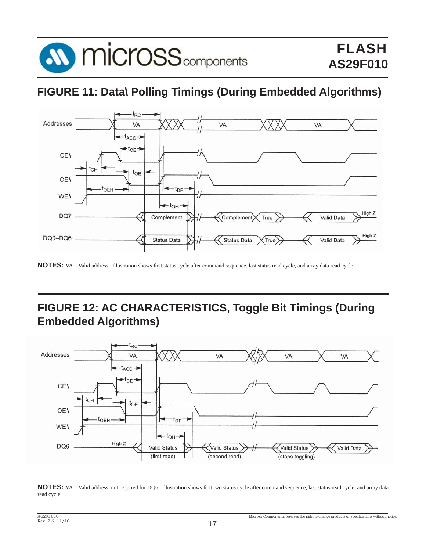

## **FIGURE 11: Data\ Polling Timings (During Embedded Algorithms)**



NOTES: VA = Valid address. Illustration shows first status cycle after command sequence, last status read cycle, and array data read cycle.

## **FIGURE 12: AC CHARACTERISTICS, Toggle Bit Timings (During Embedded Algorithms)**



NOTES: VA = Valid address, not required for DQ6. Illustration shows first two status cycle after command sequence, last status read cycle, and array data read cycle.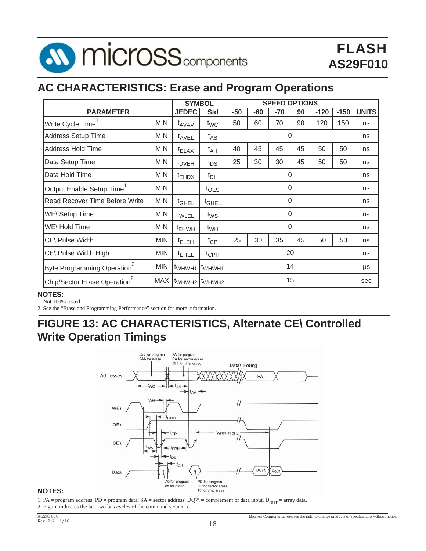

## **AC CHARACTERISTICS: Erase and Program Operations**

|                                          |            |                    | <b>SYMBOL</b>      |       | <b>SPEED OPTIONS</b> |       |          |        |        |              |
|------------------------------------------|------------|--------------------|--------------------|-------|----------------------|-------|----------|--------|--------|--------------|
| <b>PARAMETER</b>                         |            | <b>JEDEC</b>       | <b>Std</b>         | $-50$ | -60                  | $-70$ | 90       | $-120$ | $-150$ | <b>UNITS</b> |
| Write Cycle Time                         | <b>MIN</b> | t <sub>AVAV</sub>  | $t_{WC}$           | 50    | 60                   | 70    | 90       | 120    | 150    | ns           |
| Address Setup Time                       | <b>MIN</b> | t <sub>AVEL</sub>  | $t_{AS}$           |       |                      |       | 0        |        |        | ns           |
| Address Hold Time                        | <b>MIN</b> | <sup>t</sup> ELAX  | t <sub>AH</sub>    | 40    | 45                   | 45    | 45       | 50     | 50     | ns           |
| Data Setup Time                          | <b>MIN</b> | <sup>t</sup> DVEH  | $t_{DS}$           | 25    | 30                   | 30    | 45       | 50     | 50     | ns           |
| Data Hold Time                           | <b>MIN</b> | $t_{EHDX}$         | $t_{DH}$           |       |                      |       | 0        |        |        | ns           |
| Output Enable Setup Time                 | <b>MIN</b> |                    | $t_{\text{OES}}$   |       |                      |       | 0        |        |        | ns           |
| <b>Read Recover Time Before Write</b>    | <b>MIN</b> | <sup>t</sup> GHEL  | <sup>t</sup> GHEL  |       |                      |       | 0        |        |        | ns           |
| <b>WE\ Setup Time</b>                    | <b>MIN</b> | t <sub>WLEL</sub>  | $t_{WS}$           |       |                      |       | $\Omega$ |        |        | ns           |
| WE\Hold Time                             | <b>MIN</b> | <sup>T</sup> EHWH  | $t_{WH}$           |       |                      |       | $\Omega$ |        |        | ns           |
| CE\ Pulse Width                          | <b>MIN</b> | <sup>t</sup> ELEH  | $t_{\text{CP}}$    | 25    | 30                   | 35    | 45       | 50     | 50     | ns           |
| CE\ Pulse Width High                     | <b>MIN</b> | <sup>t</sup> EHEL  | $t_{\text{CPH}}$   | 20    |                      | ns    |          |        |        |              |
| Byte Programming Operation <sup>2</sup>  | <b>MIN</b> | t <sub>WHWH1</sub> | t <sub>WHWH1</sub> | 14    |                      | μs    |          |        |        |              |
| Chip/Sector Erase Operation <sup>2</sup> | <b>MAX</b> | t <sub>WHWH2</sub> | t <sub>WHWH2</sub> | 15    |                      |       | sec      |        |        |              |

#### **NOTES:**

1. Not 100% tested.

2. See the "Erase and Programming Performance" section for more information.

## **FIGURE 13: AC CHARACTERISTICS, Alternate CE\ Controlled Write Operation Timings**



#### **NOTES:**

1. PA = program address, PD = program data, SA = sector address, DQ7\ = complement of data input, D<sub>OUT</sub> = array data. 2. Figure indicates the last two bus cycles of the command sequence.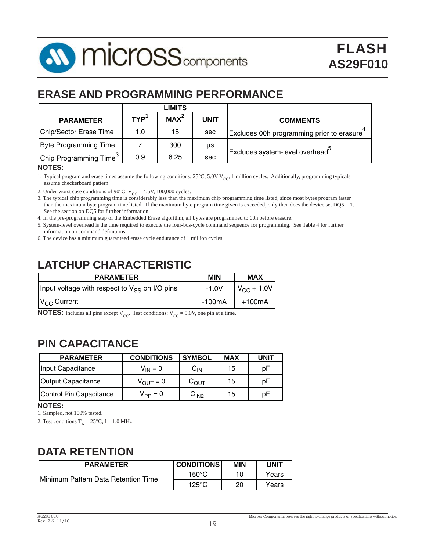

## **ERASE AND PROGRAMMING PERFORMANCE**

|                                    |            | <b>LIMITS</b>    |             |                                             |
|------------------------------------|------------|------------------|-------------|---------------------------------------------|
| <b>PARAMETER</b>                   | <b>TYP</b> | MAX <sup>2</sup> | <b>UNIT</b> | <b>COMMENTS</b>                             |
| Chip/Sector Erase Time             | 1.0        | 15               | sec         | Excludes 00h programming prior to erasure   |
| <b>Byte Programming Time</b>       |            | 300              | μs          |                                             |
| Chip Programming Time <sup>3</sup> | 0.9        | 6.25             | sec         | Excludes system-level overhead <sup>3</sup> |
| IATEC                              |            |                  |             |                                             |

#### **NOTES:**

1. Typical program and erase times assume the following conditions:  $25^{\circ}$ C, 5.0V V<sub>CC</sub>, 1 million cycles. Additionally, programming typicals assume checkerboard pattern.

2. Under worst case conditions of 90 $^{\circ}$ C, V<sub>CC</sub> = 4.5V, 100,000 cycles.

3. The typical chip programming time is considerably less than the maximum chip programming time listed, since most bytes program faster than the maximum byte program time listed. If the maximum byte program time given is exceeded, only then does the device set  $DQ5 = 1$ . See the section on DQ5 for further information.

4. In the pre-programming step of the Embedded Erase algorithm, all bytes are programmed to 00h before erasure.

5. System-level overhead is the time required to execute the four-bus-cycle command sequence for programming. See Table 4 for further information on command definitions.

6. The device has a minimum guaranteed erase cycle endurance of 1 million cycles.

## **LATCHUP CHARACTERISTIC**

| <b>PARAMETER</b>                                   | <b>MIN</b> | <b>MAX</b>             |
|----------------------------------------------------|------------|------------------------|
| Input voltage with respect to $V_{SS}$ on I/O pins | $-1.0V$    | $V_{\text{CC}} + 1.0V$ |
| $V_{CC}$ Current                                   | -100mA     | +100mA                 |

**NOTES:** Includes all pins except  $V_{CC}$ . Test conditions:  $V_{CC} = 5.0V$ , one pin at a time.

## **PIN CAPACITANCE**

| <b>PARAMETER</b>        | <b>CONDITIONS</b>    | <b>SYMBOL</b>      | <b>MAX</b> | <b>UNIT</b> |
|-------------------------|----------------------|--------------------|------------|-------------|
| Input Capacitance       | $V_{IN} = 0$         | $C_{\mathsf{IN}}$  | 15         | рF          |
| Output Capacitance      | $V_{\text{OUT}} = 0$ | $\mathrm{C_{OUT}}$ | 15         | рF          |
| Control Pin Capacitance | $V_{PP} = 0$         | C <sub>IN2</sub>   | 15         | рF          |

#### **NOTES:**

1. Sampled, not 100% tested.

2. Test conditions  $T_A = 25^{\circ}C$ ,  $f = 1.0$  MHz

## **DATA RETENTION**

| <b>PARAMETER</b>                            | <b>CONDITIONS</b> | <b>MIN</b> | UNIT  |
|---------------------------------------------|-------------------|------------|-------|
| <b>IMinimum Pattern Data Retention Time</b> | 150°C             |            | Years |
|                                             | $125^{\circ}$ C   | 20         | Years |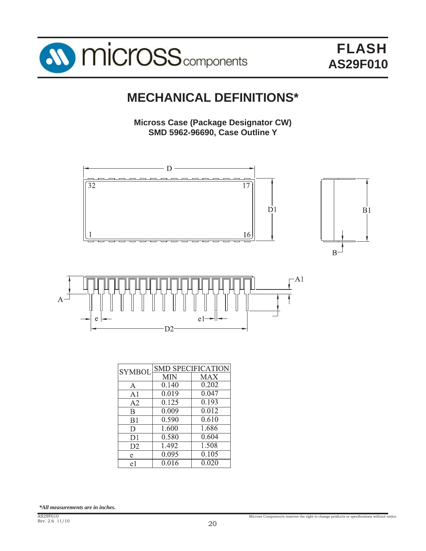

## **MECHANICAL DEFINITIONS\***

**Micross Case (Package Designator CW) SMD 5962-96690, Case Outline Y**





| <b>SYMBOL</b>  |            | <b>SMD SPECIFICATION</b> |
|----------------|------------|--------------------------|
|                | <b>MIN</b> | MAX                      |
| A              | 0.140      | 0.202                    |
| A <sub>1</sub> | 0.019      | 0.047                    |
| A <sub>2</sub> | 0.125      | $0.\overline{193}$       |
| $\bf{B}$       | 0.009      | 0.012                    |
| B <sub>1</sub> | 0.590      | 0.610                    |
| D              | 1.600      | 1.686                    |
| D1             | 0.580      | 0.604                    |
| D <sub>2</sub> | 1.492      | 1.508                    |
| e              | 0.095      | 0.105                    |
| e1             | 0.016      | 0.020                    |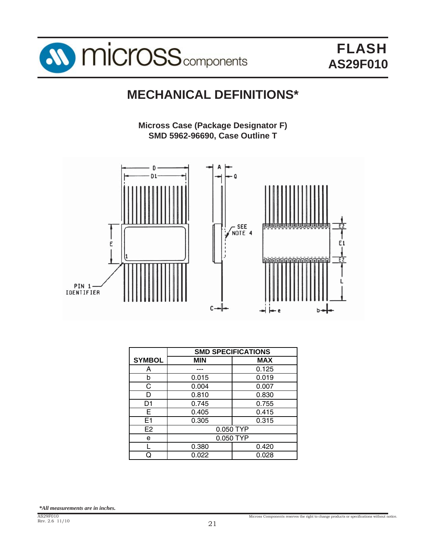

# **MECHANICAL DEFINITIONS\***

**Micross Case (Package Designator F) SMD 5962-96690, Case Outline T**



|                | <b>SMD SPECIFICATIONS</b> |            |  |
|----------------|---------------------------|------------|--|
| <b>SYMBOL</b>  | <b>MIN</b>                | <b>MAX</b> |  |
| А              |                           | 0.125      |  |
| b              | 0.015                     | 0.019      |  |
| C              | 0.004                     | 0.007      |  |
| n              | 0.810                     | 0.830      |  |
| D1             | 0.745                     | 0.755      |  |
| Е              | 0.405                     | 0.415      |  |
| E <sub>1</sub> | 0.305                     | 0.315      |  |
| E <sub>2</sub> |                           | 0.050 TYP  |  |
| e              | 0.050 TYP                 |            |  |
|                | 0.380                     | 0.420      |  |
| O              | 0.022                     | 0.028      |  |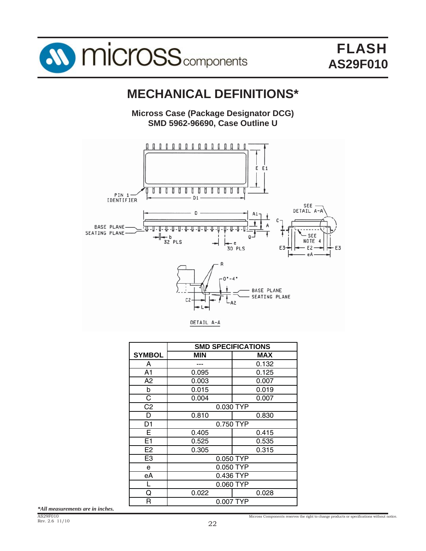

# **MECHANICAL DEFINITIONS\***

**Micross Case (Package Designator DCG) SMD 5962-96690, Case Outline U**



|                | <b>SMD SPECIFICATIONS</b> |           |  |  |  |
|----------------|---------------------------|-----------|--|--|--|
| <b>SYMBOL</b>  | <b>MIN</b>                | MAX       |  |  |  |
| A              |                           | 0.132     |  |  |  |
| A1             | 0.095                     | 0.125     |  |  |  |
| A2             | 0.003                     | 0.007     |  |  |  |
| b              | 0.015                     | 0.019     |  |  |  |
| C              | 0.004                     | 0.007     |  |  |  |
| C <sub>2</sub> | 0.030 TYP                 |           |  |  |  |
| D              | 0.810                     | 0.830     |  |  |  |
| D1             | 0.750 TYP                 |           |  |  |  |
| Е              | 0.405                     | 0.415     |  |  |  |
| E1             | 0.525                     | 0.535     |  |  |  |
| E <sub>2</sub> | 0.305                     | 0.315     |  |  |  |
| E <sub>3</sub> |                           | 0.050 TYP |  |  |  |
| e              | 0.050 TYP                 |           |  |  |  |
| еA             | 0.436 TYP                 |           |  |  |  |
|                | 0.060 TYP                 |           |  |  |  |
| Q              | 0.022                     | 0.028     |  |  |  |
| R              | 0.007 TYP                 |           |  |  |  |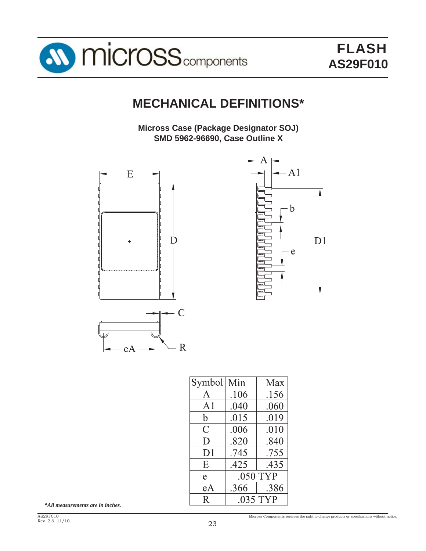

# **MECHANICAL DEFINITIONS\***

**Micross Case (Package Designator SOJ) SMD 5962-96690, Case Outline X**





| Symbol   Min   |          | Max  |  |
|----------------|----------|------|--|
| $\mathsf{A}$   | .106     | .156 |  |
| A1             | .040     | .060 |  |
| $\mathbf b$    | .015     | .019 |  |
| $\overline{C}$ | .006     | .010 |  |
| D              | .820     | .840 |  |
| D <sub>1</sub> | .745     | .755 |  |
| Ε              | .425     | .435 |  |
| e.             | .050 TYP |      |  |
| eA             | .366     | .386 |  |
| $\mathbf{R}$   | .035 TYP |      |  |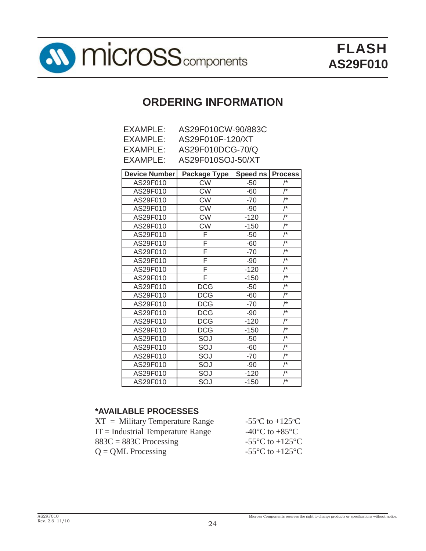

## **ORDERING INFORMATION**

| EXAMPLE:             | AS29F010CW-90/883C |                    |  |
|----------------------|--------------------|--------------------|--|
| EXAMPLE:             | AS29F010F-120/XT   |                    |  |
| EXAMPLE:             | AS29F010DCG-70/Q   |                    |  |
| EXAMPLE:             | AS29F010SOJ-50/XT  |                    |  |
|                      |                    |                    |  |
| <b>Device Number</b> | Package Type       | Speed ns   Process |  |
| AS29F010             | CW                 | $-50$              |  |
|                      |                    |                    |  |

| AS29F010 | <b>CW</b>  | $-50$  | /*               |
|----------|------------|--------|------------------|
| AS29F010 | <b>CW</b>  | -60    | $\prime^*$       |
| AS29F010 | <b>CW</b>  | $-70$  | $\overline{I^*}$ |
| AS29F010 | <b>CW</b>  | $-90$  | /*               |
| AS29F010 | <b>CW</b>  | $-120$ | $\prime^{\star}$ |
| AS29F010 | <b>CW</b>  | $-150$ | $\prime^{\star}$ |
| AS29F010 | F          | $-50$  | /*               |
| AS29F010 | F          | $-60$  | $\prime^{\ast}$  |
| AS29F010 | F          | $-70$  | /*               |
| AS29F010 | F          | $-90$  | $\overline{I^*}$ |
| AS29F010 | F          | $-120$ | /*               |
| AS29F010 | F          | $-150$ | /*               |
| AS29F010 | <b>DCG</b> | $-50$  | $\prime^{\star}$ |
| AS29F010 | <b>DCG</b> | $-60$  | $\prime^{\star}$ |
| AS29F010 | <b>DCG</b> | $-70$  | $\prime^{\star}$ |
| AS29F010 | <b>DCG</b> | -90    | $\sqrt{ }$       |
| AS29F010 | <b>DCG</b> | $-120$ | $\prime^*$       |
| AS29F010 | <b>DCG</b> | $-150$ | /*               |
| AS29F010 | SOJ        | $-50$  | $\prime^{\ast}$  |
| AS29F010 | SOJ        | $-60$  | $\prime^{\ast}$  |
| AS29F010 | SOJ        | $-70$  | /*               |
| AS29F010 | SOJ        | $-90$  | $\prime^{\ast}$  |
| AS29F010 | SOJ        | $-120$ | /*               |
| AS29F010 | SOJ        | -150   | $\prime^{\ast}$  |

## **\*AVAILABLE PROCESSES**

| $XT =$ Military Temperature Range   | -55 $\rm{^{\circ}C}$ to +125 $\rm{^{\circ}C}$         |
|-------------------------------------|-------------------------------------------------------|
| $IT = Industrial Temperature Range$ | -40 $\rm{^{\circ}C}$ to +85 $\rm{^{\circ}C}$          |
| $883C = 883C$ Processing            | -55 $\mathrm{^{\circ}C}$ to +125 $\mathrm{^{\circ}C}$ |
| $Q = QML$ Processing                | -55 $\mathrm{^{\circ}C}$ to +125 $\mathrm{^{\circ}C}$ |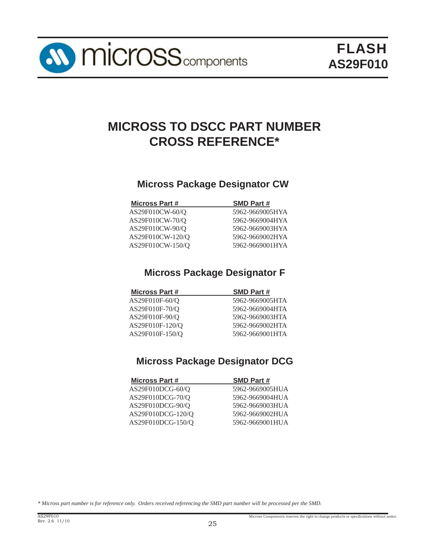# **MICROSS TO DSCC PART NUMBER CROSS REFERENCE\***

## **Micross Package Designator CW**

| <b>Micross Part #</b> | <b>SMD Part #</b> |
|-----------------------|-------------------|
| AS29F010CW-60/Q       | 5962-9669005HYA   |
| AS29F010CW-70/Q       | 5962-9669004HYA   |
| AS29F010CW-90/O       | 5962-9669003HYA   |
| AS29F010CW-120/Q      | 5962-9669002HYA   |
| AS29F010CW-150/O      | 5962-9669001HYA   |
|                       |                   |

## **Micross Package Designator F**

| <b>Micross Part #</b> | <b>SMD Part #</b> |
|-----------------------|-------------------|
| $AS29F010F-60/Q$      | 5962-9669005HTA   |
| AS29F010F-70/Q        | 5962-9669004HTA   |
| AS29F010F-90/O        | 5962-9669003HTA   |
| AS29F010F-120/O       | 5962-9669002HTA   |
| AS29F010F-150/O       | 5962-9669001HTA   |

## **Micross Package Designator DCG**

| <b>SMD Part #</b> |
|-------------------|
| 5962-9669005HUA   |
| 5962-9669004HUA   |
| 5962-9669003HUA   |
| 5962-9669002HUA   |
| 5962-9669001HUA   |
|                   |

*\* Micross part number is for reference only. Orders received referencing the SMD part number will be processed per the SMD.*